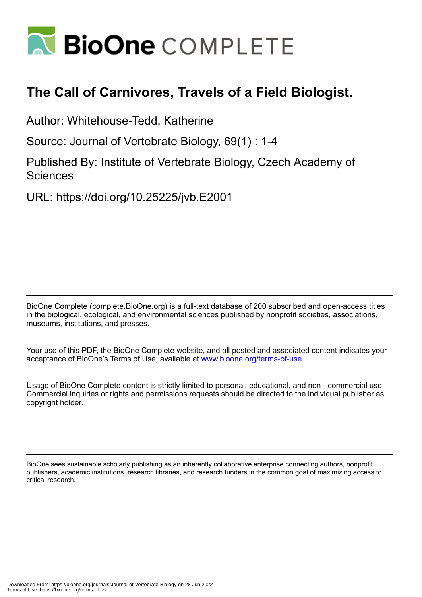

## **The Call of Carnivores, Travels of a Field Biologist.**

Author: Whitehouse-Tedd, Katherine

Source: Journal of Vertebrate Biology, 69(1) : 1-4

Published By: Institute of Vertebrate Biology, Czech Academy of **Sciences** 

URL: https://doi.org/10.25225/jvb.E2001

BioOne Complete (complete.BioOne.org) is a full-text database of 200 subscribed and open-access titles in the biological, ecological, and environmental sciences published by nonprofit societies, associations, museums, institutions, and presses.

Your use of this PDF, the BioOne Complete website, and all posted and associated content indicates your acceptance of BioOne's Terms of Use, available at www.bioone.org/terms-of-use.

Usage of BioOne Complete content is strictly limited to personal, educational, and non - commercial use. Commercial inquiries or rights and permissions requests should be directed to the individual publisher as copyright holder.

BioOne sees sustainable scholarly publishing as an inherently collaborative enterprise connecting authors, nonprofit publishers, academic institutions, research libraries, and research funders in the common goal of maximizing access to critical research.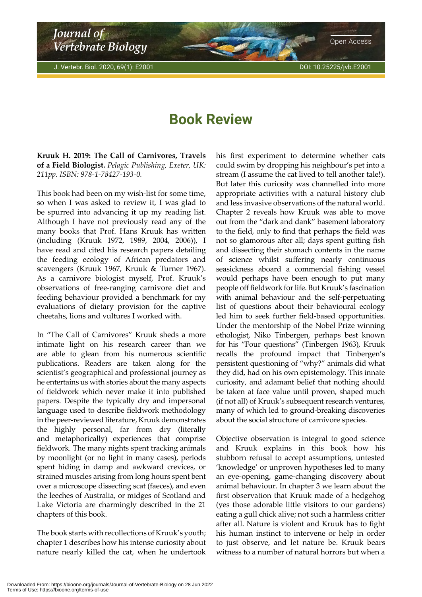<span id="page-1-0"></span>*Journal of Vertebrate Biology*

## **Book Review**

**Kruuk H. 2019: The Call of Carnivores, Travels of a Field Biologist.** *Pelagic Publishing, Exeter, UK: 211pp. ISBN: 978-1-78427-193-0.*

This book had been on my wish-list for some time, so when I was asked to review it, I was glad to be spurred into advancing it up my reading list. Although I have not previously read any of the many books that Prof. Hans Kruuk has written (including (Kruuk 1972, 1989, 2004, 2006)), I have read and cited his research papers detailing the feeding ecology of African predators and scavengers (Kruuk 1967, Kruuk & Turner 1967). As a carnivore biologist myself, Prof. Kruuk's observations of free-ranging carnivore diet and feeding behaviour provided a benchmark for my evaluations of dietary provision for the captive cheetahs, lions and vultures I worked with.

In "The Call of Carnivores" Kruuk sheds a more intimate light on his research career than we are able to glean from his numerous scientific publications. Readers are taken along for the scientist's geographical and professional journey as he entertains us with stories about the many aspects of fieldwork which never make it into published papers. Despite the typically dry and impersonal language used to describe fieldwork methodology in the peer-reviewed literature, Kruuk demonstrates the highly personal, far from dry (literally and metaphorically) experiences that comprise fieldwork. The many nights spent tracking animals by moonlight (or no light in many cases), periods spent hiding in damp and awkward crevices, or strained muscles arising from long hours spent bent over a microscope dissecting scat (faeces), and even the leeches of Australia, or midges of Scotland and Lake Victoria are charmingly described in the 21 chapters of this book.

The book starts with recollections of Kruuk's youth; chapter 1 describes how his intense curiosity about nature nearly killed the cat, when he undertook his first experiment to determine whether cats could swim by dropping his neighbour's pet into a stream (I assume the cat lived to tell another tale!). But later this curiosity was channelled into more appropriate activities with a natural history club and less invasive observations of the natural world. Chapter 2 reveals how Kruuk was able to move out from the "dark and dank" basement laboratory to the field, only to find that perhaps the field was not so glamorous after all; days spent gutting fish and dissecting their stomach contents in the name of science whilst suffering nearly continuous seasickness aboard a commercial fishing vessel would perhaps have been enough to put many people off fieldwork for life. But Kruuk's fascination with animal behaviour and the self-perpetuating list of questions about their behavioural ecology led him to seek further field-based opportunities. Under the mentorship of the Nobel Prize winning ethologist, Niko Tinbergen, perhaps best known for his "Four questions" (Tinbergen 1963), Kruuk recalls the profound impact that Tinbergen's persistent questioning of "why?" animals did what they did, had on his own epistemology. This innate curiosity, and adamant belief that nothing should be taken at face value until proven, shaped much (if not all) of Kruuk's subsequent research ventures, many of which led to ground-breaking discoveries about the social structure of carnivore species.

Objective observation is integral to good science and Kruuk explains in this book how his stubborn refusal to accept assumptions, untested 'knowledge' or unproven hypotheses led to many an eye-opening, game-changing discovery about animal behaviour. In chapter 3 we learn about the first observation that Kruuk made of a hedgehog (yes those adorable little visitors to our gardens) eating a gull chick alive; not such a harmless critter after all. Nature is violent and Kruuk has to fight his human instinct to intervene or help in order to just observe, and let nature be. Kruuk bears witness to a number of natural horrors but when a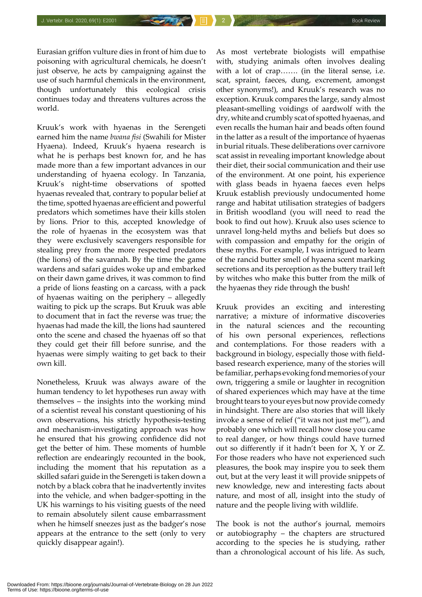Eurasian griffon vulture dies in front of him due to poisoning with agricultural chemicals, he doesn't just observe, he acts by campaigning against the use of such harmful chemicals in the environment, though unfortunately this ecological crisis continues today and threatens vultures across the world.

Kruuk's work with hyaenas in the Serengeti earned him the name *bwana fisi* (Swahili for Mister Hyaena). Indeed, Kruuk's hyaena research is what he is perhaps best known for, and he has made more than a few important advances in our understanding of hyaena ecology. In Tanzania, Kruuk's night-time observations of spotted hyaenas revealed that, contrary to popular belief at the time, spotted hyaenas are efficient and powerful predators which sometimes have their kills stolen by lions. Prior to this, accepted knowledge of the role of hyaenas in the ecosystem was that they were exclusively scavengers responsible for stealing prey from the more respected predators (the lions) of the savannah. By the time the game wardens and safari guides woke up and embarked on their dawn game drives, it was common to find a pride of lions feasting on a carcass, with a pack of hyaenas waiting on the periphery – allegedly waiting to pick up the scraps. But Kruuk was able to document that in fact the reverse was true; the hyaenas had made the kill, the lions had sauntered onto the scene and chased the hyaenas off so that they could get their fill before sunrise, and the hyaenas were simply waiting to get back to their own kill.

Nonetheless, Kruuk was always aware of the human tendency to let hypotheses run away with themselves – the insights into the working mind of a scientist reveal his constant questioning of his own observations, his strictly hypothesis-testing and mechanism-investigating approach was how he ensured that his growing confidence did not get the better of him. These moments of humble reflection are endearingly recounted in the book, including the moment that his reputation as a skilled safari guide in the Serengeti is taken down a notch by a black cobra that he inadvertently invites into the vehicle, and when badger-spotting in the UK his warnings to his visiting guests of the need to remain absolutely silent cause embarrassment when he himself sneezes just as the badger's nose appears at the entrance to the sett (only to very quickly disappear again!).

As most vertebrate biologists will empathise with, studying animals often involves dealing with a lot of crap……. (in the literal sense, i.e. scat, spraint, faeces, dung, excrement, amongst other synonyms!), and Kruuk's research was no exception. Kruuk compares the large, sandy almost pleasant-smelling voidings of aardwolf with the dry, white and crumbly scat of spotted hyaenas, and even recalls the human hair and beads often found in the latter as a result of the importance of hyaenas in burial rituals. These deliberations over carnivore scat assist in revealing important knowledge about their diet, their social communication and their use of the environment. At one point, his experience with glass beads in hyaena faeces even helps Kruuk establish previously undocumented home range and habitat utilisation strategies of badgers in British woodland (you will need to read the book to find out how). Kruuk also uses science to unravel long-held myths and beliefs but does so with compassion and empathy for the origin of these myths. For example, I was intrigued to learn of the rancid butter smell of hyaena scent marking secretions and its perception as the buttery trail left by witches who make this butter from the milk of the hyaenas they ride through the bush!

Kruuk provides an exciting and interesting narrative; a mixture of informative discoveries in the natural sciences and the recounting of his own personal experiences, reflections and contemplations. For those readers with a background in biology, especially those with fieldbased research experience, many of the stories will be familiar, perhaps evoking fond memories of your own, triggering a smile or laughter in recognition of shared experiences which may have at the time brought tears to your eyes but now provide comedy in hindsight. There are also stories that will likely invoke a sense of relief ("it was not just me!"), and probably one which will recall how close you came to real danger, or how things could have turned out so differently if it hadn't been for X, Y or Z. For those readers who have not experienced such pleasures, the book may inspire you to seek them out, but at the very least it will provide snippets of new knowledge, new and interesting facts about nature, and most of all, insight into the study of nature and the people living with wildlife.

The book is not the author's journal, memoirs or autobiography – the chapters are structured according to the species he is studying, rather than a chronological account of his life. As such,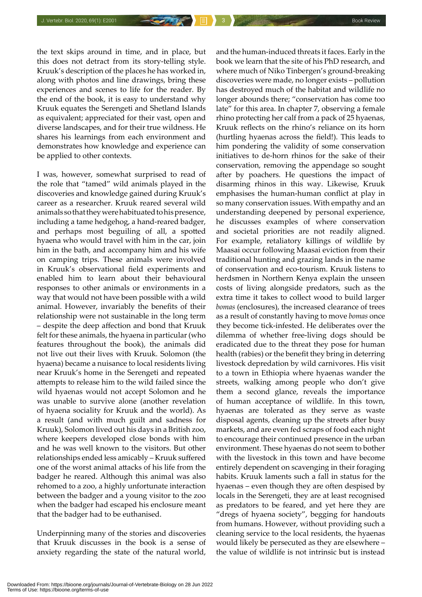the text skips around in time, and in place, but this does not detract from its story-telling style. Kruuk's description of the places he has worked in, along with photos and line drawings, bring these experiences and scenes to life for the reader. By the end of the book, it is easy to understand why Kruuk equates the Serengeti and Shetland Islands as equivalent; appreciated for their vast, open and diverse landscapes, and for their true wildness. He shares his learnings from each environment and demonstrates how knowledge and experience can be applied to other contexts.

I was, however, somewhat surprised to read of the role that "tamed" wild animals played in the discoveries and knowledge gained during Kruuk's career as a researcher. Kruuk reared several wild animals so that they were habituated to his presence, including a tame hedgehog, a hand-reared badger, and perhaps most beguiling of all, a spotted hyaena who would travel with him in the car, join him in the bath, and accompany him and his wife on camping trips. These animals were involved in Kruuk's observational field experiments and enabled him to learn about their behavioural responses to other animals or environments in a way that would not have been possible with a wild animal. However, invariably the benefits of their relationship were not sustainable in the long term – despite the deep affection and bond that Kruuk felt for these animals, the hyaena in particular (who features throughout the book), the animals did not live out their lives with Kruuk. Solomon (the hyaena) became a nuisance to local residents living near Kruuk's home in the Serengeti and repeated attempts to release him to the wild failed since the wild hyaenas would not accept Solomon and he was unable to survive alone (another revelation of hyaena sociality for Kruuk and the world). As a result (and with much guilt and sadness for Kruuk), Solomon lived out his days in a British zoo, where keepers developed close bonds with him and he was well known to the visitors. But other relationships ended less amicably – Kruuk suffered one of the worst animal attacks of his life from the badger he reared. Although this animal was also rehomed to a zoo, a highly unfortunate interaction between the badger and a young visitor to the zoo when the badger had escaped his enclosure meant that the badger had to be euthanised.

Underpinning many of the stories and discoveries that Kruuk discusses in the book is a sense of anxiety regarding the state of the natural world,

and the human-induced threats it faces. Early in the book we learn that the site of his PhD research, and where much of Niko Tinbergen's ground-breaking discoveries were made, no longer exists – pollution has destroyed much of the habitat and wildlife no longer abounds there; "conservation has come too late" for this area. In chapter 7, observing a female rhino protecting her calf from a pack of 25 hyaenas, Kruuk reflects on the rhino's reliance on its horn (hurtling hyaenas across the field!). This leads to him pondering the validity of some conservation initiatives to de-horn rhinos for the sake of their conservation, removing the appendage so sought after by poachers. He questions the impact of disarming rhinos in this way. Likewise, Kruuk emphasises the human-human conflict at play in so many conservation issues. With empathy and an understanding deepened by personal experience, he discusses examples of where conservation and societal priorities are not readily aligned. For example, retaliatory killings of wildlife by Maasai occur following Maasai eviction from their traditional hunting and grazing lands in the name of conservation and eco-tourism. Kruuk listens to herdsmen in Northern Kenya explain the unseen costs of living alongside predators, such as the extra time it takes to collect wood to build larger *bomas* (enclosures), the increased clearance of trees as a result of constantly having to move *bomas* once they become tick-infested. He deliberates over the dilemma of whether free-living dogs should be eradicated due to the threat they pose for human health (rabies) or the benefit they bring in deterring livestock depredation by wild carnivores. His visit to a town in Ethiopia where hyaenas wander the streets, walking among people who don't give them a second glance, reveals the importance of human acceptance of wildlife. In this town, hyaenas are tolerated as they serve as waste disposal agents, cleaning up the streets after busy markets, and are even fed scraps of food each night to encourage their continued presence in the urban environment. These hyaenas do not seem to bother with the livestock in this town and have become entirely dependent on scavenging in their foraging habits. Kruuk laments such a fall in status for the hyaenas – even though they are often despised by locals in the Serengeti, they are at least recognised as predators to be feared, and yet here they are "dregs of hyaena society", begging for handouts from humans. However, without providing such a cleaning service to the local residents, the hyaenas would likely be persecuted as they are elsewhere – the value of wildlife is not intrinsic but is instead